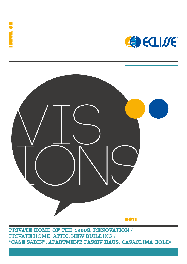



ISSUE<br>N

PRIVATE HOME OF THE 1960S, RENOVATION / PRIVATE HOME, ATTIC, NEW BUILDING / "CASE SABIN", APARTMENT, PASSIV HAUS, CASACLIMA GOLD/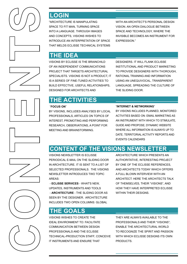

# **LOGIN**

"Architecture is manipulating space to fit man, turning space into a language. Through images and concepts, Visions wishes to introduce an interpretation of space that melds Eclisse technical systems with an architect's personal design vision. An open dialogue between space and technology, where the invisible becomes an instrument for expression."

### **THE IDEA**

Visions by Eclisse is the brainchild of an independent communications project that targets architectural specialists. Visions is not a product, it is a series of fine-tuned activities to build effective, useful relationships, designed for architects and

designers. It will flank Eclisse institutional and product marketing to provide designers with thorough, rational training and information using an unequivocal, transparent language, spreading the culture of the sliding door.

### **THE ACTIVITIES**

#### "**FOCUS ON**"

by Visions, includes analyses by local professionals, articles on topics of interest, promoting and performing research, observations, a point for meeting and brainstorming.

#### "**INTERNET & NETWORKING**"

by Visions includes planned, monitored activities based on: email marketing as an instrument with which to stimulate, guide and propose; dynamic website where all information is always up to date; territorial activity reports and events calendars

# **CONTENT OF THE VISIONS NEWSLETTER**

Visions Newsletter is Eclisse periodical e-mail on the sliding door in architecture. It is sent to a list of selected professionals. 
The Visions Newsletter introduces two topic AREAS:

- **Eclisse services** - what's new, updates, instruments and tools - **Architecture** - the sliding door as seen by the designer. Architecture includes two open columns: Global

Architecture which presents an authoritative, interesting project by one of the Eclisse references, and Architects Today which offers a full blown interview with an architect: here the architects talk of themselves, their "visions", and how they have interpreted Eclisse within their designs.

# **THE GOALS**

Visions wishes to create the ideal environment to: facilitate communication between design professionals and the Eclisse technical-production staff; conceive IT instruments and ensure that

they are always available to the professionals and their "visions"; enable the architectural world to recognize the spirit and passion WITH WHICH FCLISSE DESIGNS ITS OWN products.







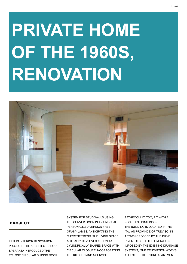# **PRIVATE HOME OF THE 1960S, RENOVATION**



#### PROJECT

In this interior renovation project , the architect Diego Speranza introduced the Eclisse Circular sliding door system for stud walls using the curved door in an unusual, personalized version free of any jambs, anticipating the current trend. The living space actually revolves around a cylindrically shaped space with Circular closure incorporating the kitchen and a service

BATHROOM, IT, TOO, FIT WITH A pocket sliding door. The building is located in the Italian province of Treviso, in a town crossed by the Piave river. Despite the limitations imposed by the existing drainage systems, the renovation works affected the entire apartment,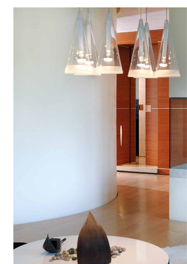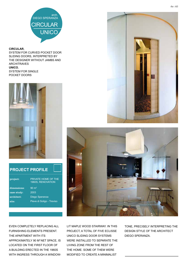

#### **CIRCULAR**,

system for curved pocket door sliding doors, interpreted by the designer without jambs and **ARCHITRAVES UNICO**, system for single pocket doors



#### **PROJECT PROFILE**

| project:    | <b>PRIVATE HOME OF THE</b><br>1960S, RENOVATION |
|-------------|-------------------------------------------------|
| dimensions: | $90 \text{ m}^2$                                |
| case study: | 2003                                            |
| architect:  | Diego Speranza                                  |
| site:       | Pieve di Soligo - Treviso                       |
|             |                                                 |

even completely replacing all furnishing elements present. The apartment with its approximately 90 m2 net space, is located on the first floor of a building erected in the 1960s with ingress through a window-





LIT MAPLE WOOD STAIRWAY. IN THIS project, a total of five Eclisse Unico sliding door systems were installed to separate the living zone from the rest of the home. Some of them were modified to create a minimalist

tone, precisely interpreting the design style of the architect Diego Speranza.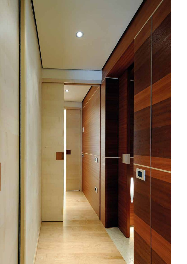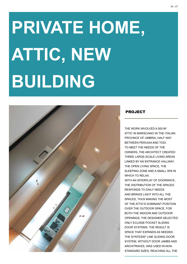#### *06 /07*

# **PRIVATE HOME, ATTIC, NEW BUILDING**



#### PROJECT

THE WORK INVOLVED A 500 M<sup>2</sup> attic in Marsciano in the Italian province of Umbria, half way between Perugia and Todi. To meet the needs of the owners, the architect created three large-scale living areas linked by an entrance hallway: the open living space, the SI FFPING ZONE AND A SMALL SPA IN WHICH TO RELAX. WITH AN INTERPLAY OF DOORWAYS, the distribution of the spaces responds to daily needs and brings light into all the spaces, thus making the most of the attic's dominant position over the outdoor space. For both the indoor and outdoor openings, the designer selected only eclisse pocket sliding door systems: the result is space that expands as needed. the Syntesis® Line sliding door system, without door jambs and architraves, was used in nonstandard sizes, reaching all the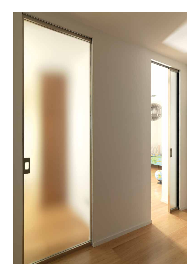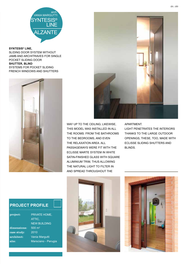

#### **SYNTESIS® LINE,**

sliding door system without jamb and architraves for single pocket sliding door **SHUTTER, BLIND** systems for pocket sliding french windows and shutters





WAY UP TO THE CEILING: LIKEWISE. this model was installed in all the rooms: from the bathrooms to the bedrooms, and even the relaxation area. All passageways were fit with the Eclisse Marte system in white SATIN-FINISHED GLASS WITH SQUARE aluminium trim, thus allowing the natural light to filter in and spread throughout the

apartment.

Light penetrates the interiors thanks to the large outdoor openings, these, too, made with Eclisse sliding shutters and blinds.

#### **PROJECT PROFILE**

| dimensions: |  |  |  |
|-------------|--|--|--|

case study: architect: site:

project:

PRIVATE HOME, ATTIC, NEW BUILDING 500 m2 2010 Vania Margutti Marsciano - Perugia



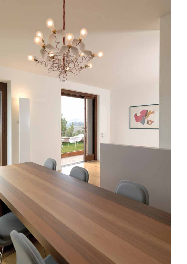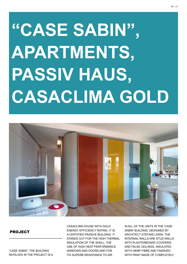# **"CASE SABIN", APARTMENTS, PASSIV HAUS, CASACLIMA GOLD**



#### PROJECT

"Case Sabin", the building involved in the project is a CasaClima house with gold energy efficiency rating. It is a certified passive building. It stands out for the high thermal insulation of the shell, the use of high heat performance windows and doors and for its superb resistance to air.

in all of the units in the 'Case Sabin' building, designed by architect Stefano Zara, the internal walls are stud walls WITH PLASTERBOARD COVERING and false ceilings, insulated with hemp fibre and finished with paint made of completely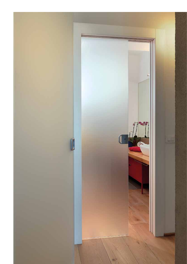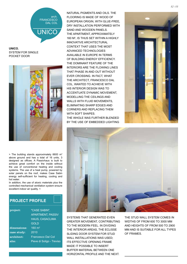

**UNICO**, system for single pocket door



 $>$  The building stands approximately 6600 m<sup>3</sup> above ground and has a total of 16 units, 3 designed as offices. A Passivhaus is built to achieve great comfort on the inside without the use of conventional heating and cooling systems. The use of a heat pump, powered by solar panels on the roof, makes Case Sabin energy self-sufficient for heating, cooling and hot water.

In addition, the use of atoxic materials plus the controlled mechanical ventilation system ensure excellent indoor air quality. <

#### **PROJECT PROFILE**

| project:    | "CASE SABIN",             |
|-------------|---------------------------|
|             | <b>APARTMENT, PASSIV</b>  |
|             | <b>HAUS, CASACLIMA</b>    |
|             | <b>GOLD</b>               |
| dimensions: | $160 \text{ m}^2$         |
| case study: | 2010                      |
| architect:  | <b>Francesco Dal Col</b>  |
| site:       | Pieve di Soligo - Treviso |
|             |                           |

natural pigments and oils. The flooring is made of wood of European origin, with glue-free, dry installation performed with sand and wooden panels. The apartment, approximately 160 m2 , is thus set within a highly innovative architectural context that uses the most advanced technologies available in Europe in terms of building energy efficiency. The dominant feature of the interiors are the flowing lines that phase in and out without ever crossing. In fact, what the architect, Francesco Dal Col, wanted to achieve with his interior design was to accentuate dynamic movement, modelling the ceilings and WALLS WITH FLUID MOVEMENTS. eliminating sharp edges and corners and replacing them WITH SOFT SHAPES.

The whole was further blended by the use of embedded lighting





systems that generated even greater movement, contributing to the modern feel. in dividing the interior areas, the Eclisse sliding door system for stud WALL INSTALLATIONS WAS USED: its effective opening frame made it possible to insert buffer material between one horizontal profile and the next.

The stud wall system comes in widths of from 600 to 3000 mm and heights of from 500 to 2900 mm and is suitable for all types of frames.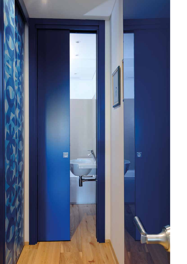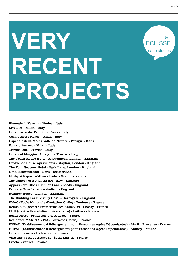# **VERY RECENT PROJECTS**

ECLISSE case studies 2011

Biennale di Venezia - Venice - Italy City Life - Milan - Italy Hotel Parco dei Principi - Rome - Italy Cosmo Hotel Palace - Milan - Italy Ospedale della Media Valle del Tevere - Perugia - Italia Palazzo Ferrero - Milan - Italy Treviso Due - Treviso - Italy Hotel del Maggior Consiglio - Treviso - Italy The Coach House Hotel - Maidenhead, London - England Grosvenor House Apartments - Mayfair, London - England The Four Seasons Hotel - Park Lane, London - England Hotel Schweizerhof - Bern - Switzerland El Espai Esport Wellness Pàdel - Granollers - Spain The Gallery of Botanical Art - Kew - England Appartment Block Skinner Lane - Leeds - England Primary Care Trust - Wakefield - England Romney House - London - England The Rudding Park Luxury Hotel - Harrogate - England ENAC (Ecole Nationale d'Aviation Civile) - Toulouse - France Relais SPA (Société Protectrice des Animaux) - Chessy - France CHU (Centre Hospitalier Universitaire) - Poitiers - France Beach Hotel - Principality of Monaco - France Résidence MARINA VIVA - Porticcio (Corse) - France EHPAD (Etablissement d'Hébergement pour Personnes Agées Dépendantes) - Aix En Provence - France EHPAD (Etablissement d'Hébergement pour Personnes Agées Dépendantes) - Annecy - France Hotel Concorde - La Reunion - France Villa Zac de Hope Estate II - Saint Martin - France Crèche - Vanves - France